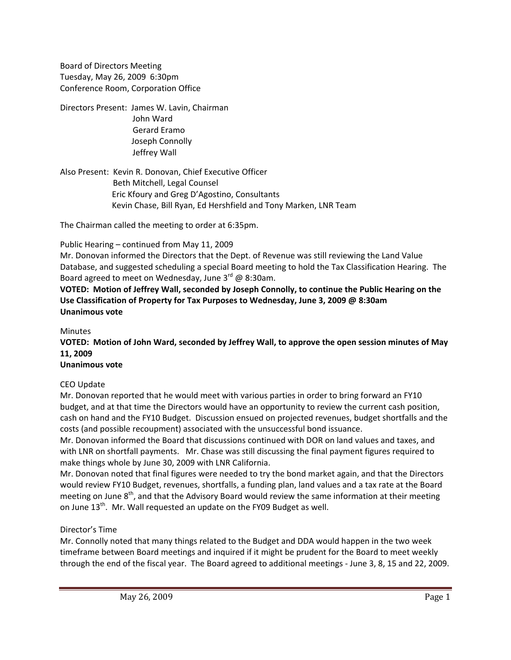Board of Directors Meeting Tuesday, May 26, 2009 6:30pm Conference Room, Corporation Office

Directors Present: James W. Lavin, Chairman John Ward Gerard Eramo Joseph Connolly Jeffrey Wall

Also Present: Kevin R. Donovan, Chief Executive Officer Beth Mitchell, Legal Counsel Eric Kfoury and Greg D'Agostino, Consultants Kevin Chase, Bill Ryan, Ed Hershfield and Tony Marken, LNR Team

The Chairman called the meeting to order at 6:35pm.

### Public Hearing – continued from May 11, 2009

Mr. Donovan informed the Directors that the Dept. of Revenue was still reviewing the Land Value Database, and suggested scheduling a special Board meeting to hold the Tax Classification Hearing. The Board agreed to meet on Wednesday, June  $3^{rd}$  @ 8:30am.

**VOTED: Motion of Jeffrey Wall, seconded by Joseph Connolly, to continue the Public Hearing on the Use Classification of Property for Tax Purposes to Wednesday, June 3, 2009 @ 8:30am Unanimous vote**

Minutes

**VOTED: Motion of John Ward, seconded by Jeffrey Wall, to approve the open session minutes of May 11, 2009**

## **Unanimous vote**

## CEO Update

Mr. Donovan reported that he would meet with various parties in order to bring forward an FY10 budget, and at that time the Directors would have an opportunity to review the current cash position, cash on hand and the FY10 Budget. Discussion ensued on projected revenues, budget shortfalls and the costs (and possible recoupment) associated with the unsuccessful bond issuance.

Mr. Donovan informed the Board that discussions continued with DOR on land values and taxes, and with LNR on shortfall payments. Mr. Chase was still discussing the final payment figures required to make things whole by June 30, 2009 with LNR California.

Mr. Donovan noted that final figures were needed to try the bond market again, and that the Directors would review FY10 Budget, revenues, shortfalls, a funding plan, land values and a tax rate at the Board meeting on June  $8<sup>th</sup>$ , and that the Advisory Board would review the same information at their meeting on June 13<sup>th</sup>. Mr. Wall requested an update on the FY09 Budget as well.

## Director's Time

Mr. Connolly noted that many things related to the Budget and DDA would happen in the two week timeframe between Board meetings and inquired if it might be prudent for the Board to meet weekly through the end of the fiscal year. The Board agreed to additional meetings ‐ June 3, 8, 15 and 22, 2009.